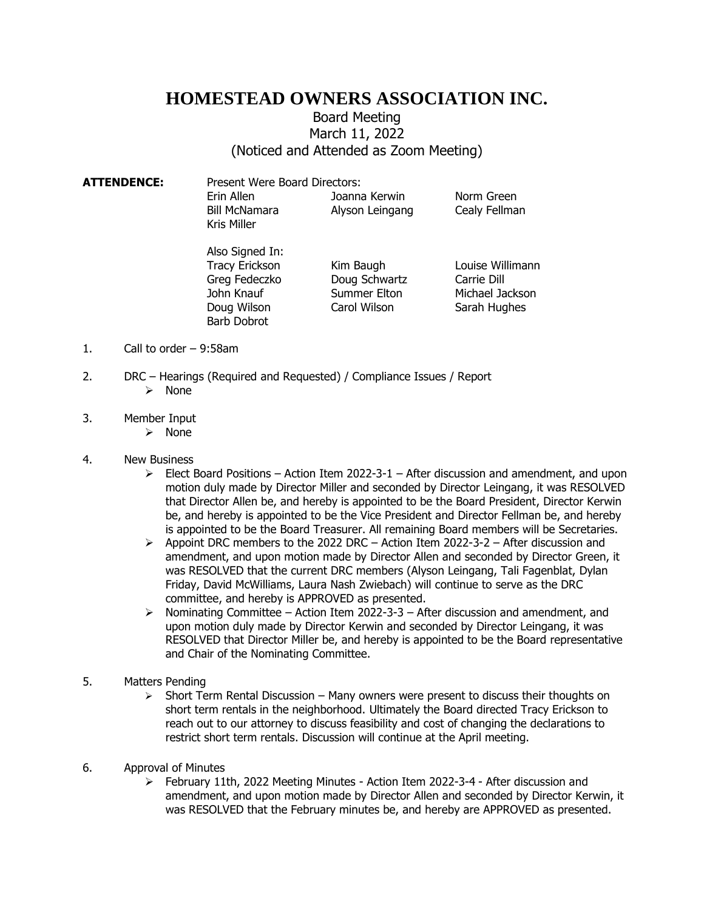## **HOMESTEAD OWNERS ASSOCIATION INC.**

## Board Meeting March 11, 2022 (Noticed and Attended as Zoom Meeting)

| ATTENDENCE: | Present Were Board Directors:              |                                  |                             |
|-------------|--------------------------------------------|----------------------------------|-----------------------------|
|             | Erin Allen<br>Bill McNamara<br>Kris Miller | Joanna Kerwin<br>Alyson Leingang | Norm Green<br>Cealy Fellman |

Also Signed In: Doug Wilson Carol Wilson Sarah Hughes Barb Dobrot

Tracy Erickson Kim Baugh Louise Willimann Greg Fedeczko Doug Schwartz Carrie Dill

John Knauf Summer Elton Michael Jackson

- 1. Call to order 9:58am
- 2. DRC Hearings (Required and Requested) / Compliance Issues / Report ➢ None
- 3. Member Input
	- ➢ None
- 4. New Business
	- $\triangleright$  Elect Board Positions Action Item 2022-3-1 After discussion and amendment, and upon motion duly made by Director Miller and seconded by Director Leingang, it was RESOLVED that Director Allen be, and hereby is appointed to be the Board President, Director Kerwin be, and hereby is appointed to be the Vice President and Director Fellman be, and hereby is appointed to be the Board Treasurer. All remaining Board members will be Secretaries.
	- $\triangleright$  Appoint DRC members to the 2022 DRC Action Item 2022-3-2 After discussion and amendment, and upon motion made by Director Allen and seconded by Director Green, it was RESOLVED that the current DRC members (Alyson Leingang, Tali Fagenblat, Dylan Friday, David McWilliams, Laura Nash Zwiebach) will continue to serve as the DRC committee, and hereby is APPROVED as presented.
	- ➢ Nominating Committee Action Item 2022-3-3 After discussion and amendment, and upon motion duly made by Director Kerwin and seconded by Director Leingang, it was RESOLVED that Director Miller be, and hereby is appointed to be the Board representative and Chair of the Nominating Committee.
- 5. Matters Pending
	- $\triangleright$  Short Term Rental Discussion Many owners were present to discuss their thoughts on short term rentals in the neighborhood. Ultimately the Board directed Tracy Erickson to reach out to our attorney to discuss feasibility and cost of changing the declarations to restrict short term rentals. Discussion will continue at the April meeting.
- 6. Approval of Minutes
	- ➢ February 11th, 2022 Meeting Minutes Action Item 2022-3-4 After discussion and amendment, and upon motion made by Director Allen and seconded by Director Kerwin, it was RESOLVED that the February minutes be, and hereby are APPROVED as presented.